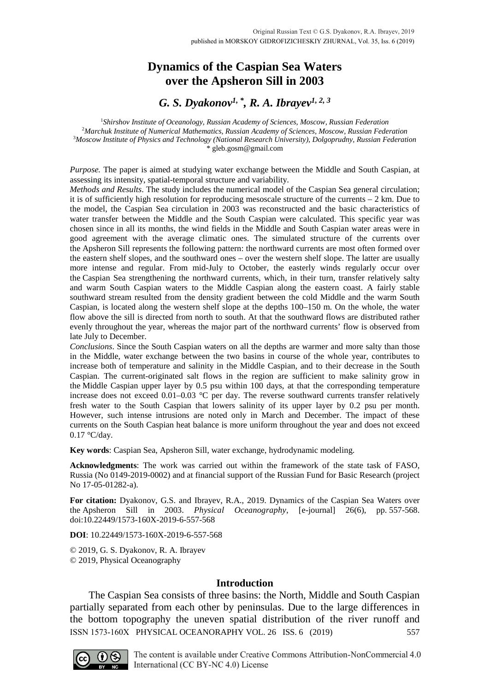# **Dynamics of the Caspian Sea Waters over the Apsheron Sill in 2003**

# *G. S. Dyakonov1, \*, R. A. Ibrayev1, 2, 3*

 *Shirshov Institute of Oceanology, Russian Academy of Sciences, Moscow, Russian Federation Marchuk Institute of Numerical Mathematics, Russian Academy of Sciences, Moscow, Russian Federation Moscow Institute of Physics and Technology (National Research University), Dolgoprudny, Russian Federation* \* gleb.gosm@gmail.com

*Purpose.* The paper is aimed at studying water exchange between the Middle and South Caspian, at assessing its intensity, spatial-temporal structure and variability.

*Methods and Results*. The study includes the numerical model of the Caspian Sea general circulation; it is of sufficiently high resolution for reproducing mesoscale structure of the currents – 2 km. Due to the model, the Caspian Sea circulation in 2003 was reconstructed and the basic characteristics of water transfer between the Middle and the South Caspian were calculated. This specific year was chosen since in all its months, the wind fields in the Middle and South Caspian water areas were in good agreement with the average climatic ones. The simulated structure of the currents over the Apsheron Sill represents the following pattern: the northward currents are most often formed over the eastern shelf slopes, and the southward ones – over the western shelf slope. The latter are usually more intense and regular. From mid-July to October, the easterly winds regularly occur over the Caspian Sea strengthening the northward currents, which, in their turn, transfer relatively salty and warm South Caspian waters to the Middle Caspian along the eastern coast. A fairly stable southward stream resulted from the density gradient between the cold Middle and the warm South Caspian, is located along the western shelf slope at the depths 100–150 m. On the whole, the water flow above the sill is directed from north to south. At that the southward flows are distributed rather evenly throughout the year, whereas the major part of the northward currents' flow is observed from late July to December.

*Conclusions*. Since the South Caspian waters on all the depths are warmer and more salty than those in the Middle, water exchange between the two basins in course of the whole year, contributes to increase both of temperature and salinity in the Middle Caspian, and to their decrease in the South Caspian. The current-originated salt flows in the region are sufficient to make salinity grow in the Middle Caspian upper layer by 0.5 psu within 100 days, at that the corresponding temperature increase does not exceed 0.01–0.03 °C per day. The reverse southward currents transfer relatively fresh water to the South Caspian that lowers salinity of its upper layer by 0.2 psu per month. However, such intense intrusions are noted only in March and December. The impact of these currents on the South Caspian heat balance is more uniform throughout the year and does not exceed 0.17 °C/day.

**Key words**: Caspian Sea, Apsheron Sill, water exchange, hydrodynamic modeling.

**Acknowledgments**: The work was carried out within the framework of the state task of FASO, Russia (No 0149-2019-0002) and at financial support of the Russian Fund for Basic Research (project No 17-05-01282-a).

**For citation:** Dyakonov, G.S. and Ibrayev, R.A., 2019. Dynamics of the Caspian Sea Waters over the Apsheron Sill in 2003. *Physical Oceanography*, [e-journal] 26(6), pp. 557-568. doi:10.22449/1573-160X-2019-6-557-568

**DOI**: 10.22449/1573-160X-2019-6-557-568

© 2019, G. S. Dyakonov, R. A. Ibrayev © 2019, Physical Oceanography

## **Introduction**

The Caspian Sea consists of three basins: the North, Middle and South Caspian partially separated from each other by peninsulas. Due to the large differences in the bottom topography the uneven spatial distribution of the river runoff and ISSN 1573-160X PHYSICAL OCEANORAPHY VOL. 26 ISS. 6 (2019) 557

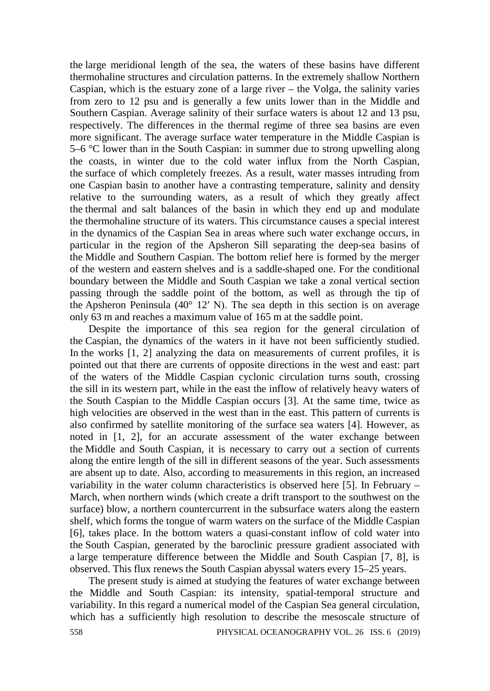the large meridional length of the sea, the waters of these basins have different thermohaline structures and circulation patterns. In the extremely shallow Northern Caspian, which is the estuary zone of a large river – the Volga, the salinity varies from zero to 12 psu and is generally a few units lower than in the Middle and Southern Caspian. Average salinity of their surface waters is about 12 and 13 psu, respectively. The differences in the thermal regime of three sea basins are even more significant. The average surface water temperature in the Middle Caspian is 5–6 °C lower than in the South Caspian: in summer due to strong upwelling along the coasts, in winter due to the cold water influx from the North Caspian, the surface of which completely freezes. As a result, water masses intruding from one Caspian basin to another have a contrasting temperature, salinity and density relative to the surrounding waters, as a result of which they greatly affect the thermal and salt balances of the basin in which they end up and modulate the thermohaline structure of its waters. This circumstance causes a special interest in the dynamics of the Caspian Sea in areas where such water exchange occurs, in particular in the region of the Apsheron Sill separating the deep-sea basins of the Middle and Southern Caspian. The bottom relief here is formed by the merger of the western and eastern shelves and is a saddle-shaped one. For the conditional boundary between the Middle and South Caspian we take a zonal vertical section passing through the saddle point of the bottom, as well as through the tip of the Apsheron Peninsula (40° 12′ N). The sea depth in this section is on average only 63 m and reaches a maximum value of 165 m at the saddle point.

Despite the importance of this sea region for the general circulation of the Caspian, the dynamics of the waters in it have not been sufficiently studied. In the works [1, 2] analyzing the data on measurements of current profiles, it is pointed out that there are currents of opposite directions in the west and east: part of the waters of the Middle Caspian cyclonic circulation turns south, crossing the sill in its western part, while in the east the inflow of relatively heavy waters of the South Caspian to the Middle Caspian occurs [3]. At the same time, twice as high velocities are observed in the west than in the east. This pattern of currents is also confirmed by satellite monitoring of the surface sea waters [4]. However, as noted in [1, 2], for an accurate assessment of the water exchange between the Middle and South Caspian, it is necessary to carry out a section of currents along the entire length of the sill in different seasons of the year. Such assessments are absent up to date. Also, according to measurements in this region, an increased variability in the water column characteristics is observed here [5]. In February – March, when northern winds (which create a drift transport to the southwest on the surface) blow, a northern countercurrent in the subsurface waters along the eastern shelf, which forms the tongue of warm waters on the surface of the Middle Caspian [6], takes place. In the bottom waters a quasi-constant inflow of cold water into the South Caspian, generated by the baroclinic pressure gradient associated with a large temperature difference between the Middle and South Caspian [7, 8], is observed. This flux renews the South Caspian abyssal waters every 15–25 years.

The present study is aimed at studying the features of water exchange between the Middle and South Caspian: its intensity, spatial-temporal structure and variability. In this regard a numerical model of the Caspian Sea general circulation, which has a sufficiently high resolution to describe the mesoscale structure of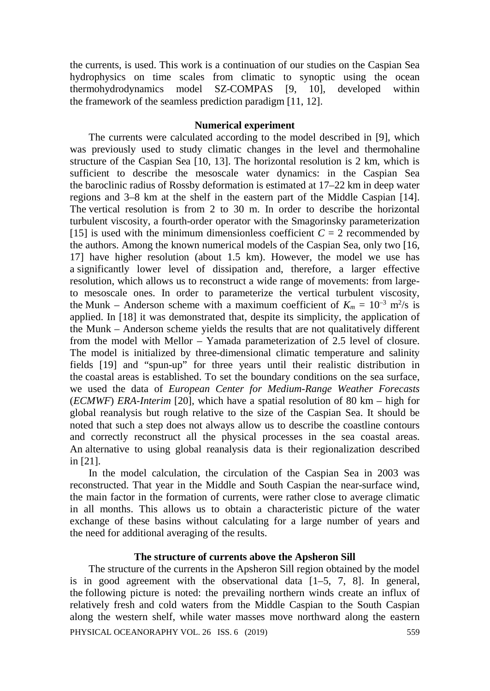the currents, is used. This work is a continuation of our studies on the Caspian Sea hydrophysics on time scales from climatic to synoptic using the ocean thermohydrodynamics model SZ-COMPAS [9, 10], developed within the framework of the seamless prediction paradigm [11, 12].

## **Numerical experiment**

The currents were calculated according to the model described in [9], which was previously used to study climatic changes in the level and thermohaline structure of the Caspian Sea [10, 13]. The horizontal resolution is 2 km, which is sufficient to describe the mesoscale water dynamics: in the Caspian Sea the baroclinic radius of Rossby deformation is estimated at 17–22 km in deep water regions and 3–8 km at the shelf in the eastern part of the Middle Caspian [14]. The vertical resolution is from 2 to 30 m. In order to describe the horizontal turbulent viscosity, a fourth-order operator with the Smagorinsky parameterization [15] is used with the minimum dimensionless coefficient  $C = 2$  recommended by the authors. Among the known numerical models of the Caspian Sea, only two [16, 17] have higher resolution (about 1.5 km). However, the model we use has a significantly lower level of dissipation and, therefore, a larger effective resolution, which allows us to reconstruct a wide range of movements: from largeto mesoscale ones. In order to parameterize the vertical turbulent viscosity, the Munk – Anderson scheme with a maximum coefficient of  $K_m = 10^{-3}$  m<sup>2</sup>/s is applied. In [18] it was demonstrated that, despite its simplicity, the application of the Munk – Anderson scheme yields the results that are not qualitatively different from the model with Mellor – Yamada parameterization of 2.5 level of closure. The model is initialized by three-dimensional climatic temperature and salinity fields [19] and "spun-up" for three years until their realistic distribution in the coastal areas is established. To set the boundary conditions on the sea surface, we used the data of *European Center for Medium-Range Weather Forecasts* (*ECMWF*) *ERA-Interim* [20], which have a spatial resolution of 80 km – high for global reanalysis but rough relative to the size of the Caspian Sea. It should be noted that such a step does not always allow us to describe the coastline contours and correctly reconstruct all the physical processes in the sea coastal areas. An alternative to using global reanalysis data is their regionalization described in [21].

In the model calculation, the circulation of the Caspian Sea in 2003 was reconstructed. That year in the Middle and South Caspian the near-surface wind, the main factor in the formation of currents, were rather close to average climatic in all months. This allows us to obtain a characteristic picture of the water exchange of these basins without calculating for a large number of years and the need for additional averaging of the results.

## **The structure of currents above the Apsheron Sill**

The structure of the currents in the Apsheron Sill region obtained by the model is in good agreement with the observational data  $[1-5, 7, 8]$ . In general, the following picture is noted: the prevailing northern winds create an influx of relatively fresh and cold waters from the Middle Caspian to the South Caspian along the western shelf, while water masses move northward along the eastern PHYSICAL OCEANORAPHY VOL. 26 ISS. 6 (2019) 559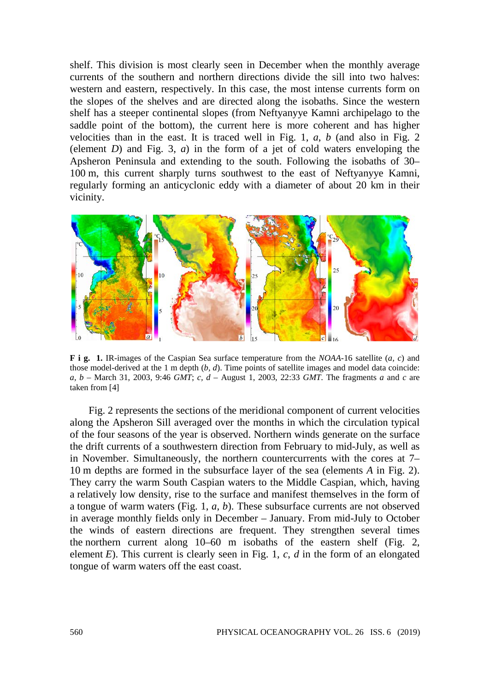shelf. This division is most clearly seen in December when the monthly average currents of the southern and northern directions divide the sill into two halves: western and eastern, respectively. In this case, the most intense currents form on the slopes of the shelves and are directed along the isobaths. Since the western shelf has a steeper continental slopes (from Neftyanyye Kamni archipelago to the saddle point of the bottom), the current here is more coherent and has higher velocities than in the east. It is traced well in Fig. 1, *a*, *b* (and also in Fig. 2 (element *D*) and Fig. 3, *a*) in the form of a jet of cold waters enveloping the Apsheron Peninsula and extending to the south. Following the isobaths of 30– 100 m, this current sharply turns southwest to the east of Neftyanyye Kamni, regularly forming an anticyclonic eddy with a diameter of about 20 km in their vicinity.



**F i g. 1.** IR-images of the Caspian Sea surface temperature from the *NOAA*-16 satellite (*a, c*) and those model-derived at the 1 m depth (*b, d*). Time points of satellite images and model data coincide: *a, b* – March 31, 2003, 9:46 *GMT*; *c, d* – August 1, 2003, 22:33 *GMT*. The fragments *a* and *c* are taken from [4]

Fig. 2 represents the sections of the meridional component of current velocities along the Apsheron Sill averaged over the months in which the circulation typical of the four seasons of the year is observed. Northern winds generate on the surface the drift currents of a southwestern direction from February to mid-July, as well as in November. Simultaneously, the northern countercurrents with the cores at 7– 10 m depths are formed in the subsurface layer of the sea (elements *A* in Fig. 2). They carry the warm South Caspian waters to the Middle Caspian, which, having a relatively low density, rise to the surface and manifest themselves in the form of a tongue of warm waters (Fig. 1, *a*, *b*). These subsurface currents are not observed in average monthly fields only in December – January. From mid-July to October the winds of eastern directions are frequent. They strengthen several times the northern current along 10–60 m isobaths of the eastern shelf (Fig. 2, element *E*). This current is clearly seen in Fig. 1, *c*, *d* in the form of an elongated tongue of warm waters off the east coast.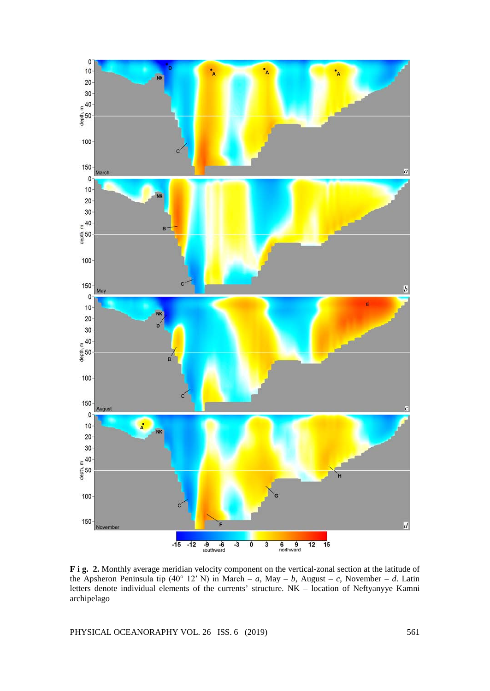

**F i g. 2.** Monthly average meridian velocity component on the vertical-zonal section at the latitude of the Apsheron Peninsula tip (40° 12′ N) in March – *a*, May – *b*, August – *c*, November – *d*. Latin letters denote individual elements of the currents' structure. NK – location of Neftyanyye Kamni archipelago

PHYSICAL OCEANORAPHY VOL. 26 ISS. 6 (2019) 561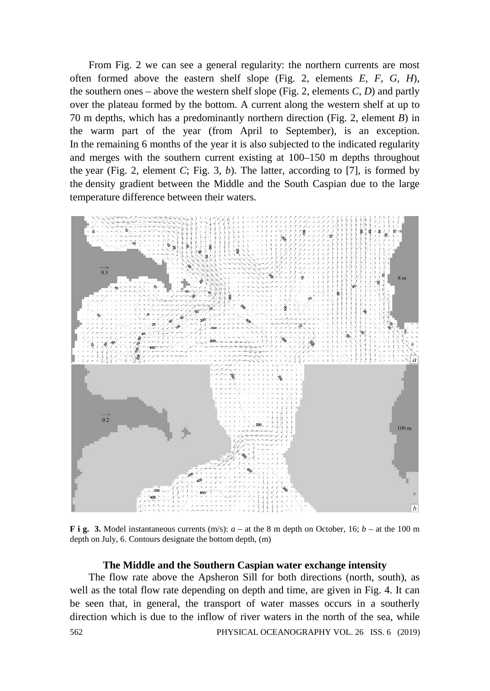From Fig. 2 we can see a general regularity: the northern currents are most often formed above the eastern shelf slope (Fig. 2, elements *E*, *F*, *G*, *H*), the southern ones – above the western shelf slope (Fig. 2, elements *C*, *D*) and partly over the plateau formed by the bottom. A current along the western shelf at up to 70 m depths, which has a predominantly northern direction (Fig. 2, element *B*) in the warm part of the year (from April to September), is an exception. In the remaining 6 months of the year it is also subjected to the indicated regularity and merges with the southern current existing at 100–150 m depths throughout the year (Fig. 2, element *C*; Fig. 3, *b*). The latter, according to [7], is formed by the density gradient between the Middle and the South Caspian due to the large temperature difference between their waters.



**F** i g. 3. Model instantaneous currents (m/s):  $a - at$  the 8 m depth on October, 16;  $b - at$  the 100 m depth on July, 6. Contours designate the bottom depth, (m)

# **The Middle and the Southern Caspian water exchange intensity**

The flow rate above the Apsheron Sill for both directions (north, south), as well as the total flow rate depending on depth and time, are given in Fig. 4. It can be seen that, in general, the transport of water masses occurs in a southerly direction which is due to the inflow of river waters in the north of the sea, while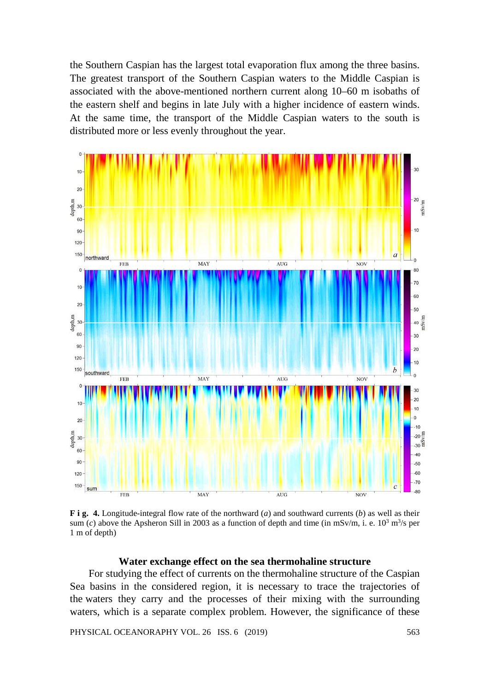the Southern Caspian has the largest total evaporation flux among the three basins. The greatest transport of the Southern Caspian waters to the Middle Caspian is associated with the above-mentioned northern current along 10–60 m isobaths of the eastern shelf and begins in late July with a higher incidence of eastern winds. At the same time, the transport of the Middle Caspian waters to the south is distributed more or less evenly throughout the year.



**F i g. 4.** Longitude-integral flow rate of the northward (*a*) and southward currents (*b*) as well as their sum (*c*) above the Apsheron Sill in 2003 as a function of depth and time (in mSv/m, i. e.  $10^3$  m<sup>3</sup>/s per 1 m of depth)

### **Water exchange effect on the sea thermohaline structure**

For studying the effect of currents on the thermohaline structure of the Caspian Sea basins in the considered region, it is necessary to trace the trajectories of the waters they carry and the processes of their mixing with the surrounding waters, which is a separate complex problem. However, the significance of these

PHYSICAL OCEANORAPHY VOL. 26 ISS. 6 (2019) 563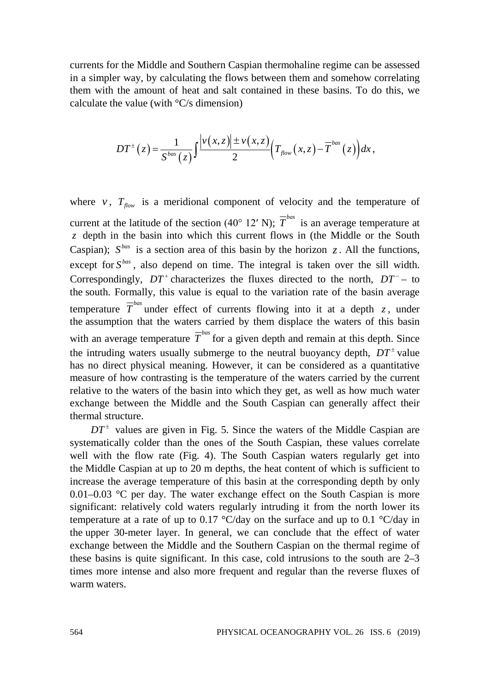currents for the Middle and Southern Caspian thermohaline regime can be assessed in a simpler way, by calculating the flows between them and somehow correlating them with the amount of heat and salt contained in these basins. To do this, we calculate the value (with  $\rm{°C/s}$  dimension)

$$
DT^{\pm}(z)=\frac{1}{S^{bas}(z)}\int \frac{\left|v(x,z)\right|\pm v(x,z)}{2}\left(T_{flow}(x,z)-\overline{T}^{bas}(z)\right)dx,
$$

where *v*,  $T_{flow}$  is a meridional component of velocity and the temperature of current at the latitude of the section (40° 12′ N);  $\overline{T}^{bas}$  is an average temperature at *z* depth in the basin into which this current flows in (the Middle or the South Caspian);  $S<sup>bas</sup>$  is a section area of this basin by the horizon *z*. All the functions, except for  $S^{bas}$ , also depend on time. The integral is taken over the sill width. Correspondingly,  $DT^+$  characterizes the fluxes directed to the north,  $DT^-$  – to the south. Formally, this value is equal to the variation rate of the basin average temperature  $\overline{T}^{bas}$  under effect of currents flowing into it at a depth *z*, under the assumption that the waters carried by them displace the waters of this basin with an average temperature  $\overline{T}^{bas}$  for a given depth and remain at this depth. Since the intruding waters usually submerge to the neutral buoyancy depth,  $DT^{\pm}$  value has no direct physical meaning. However, it can be considered as a quantitative measure of how contrasting is the temperature of the waters carried by the current relative to the waters of the basin into which they get, as well as how much water exchange between the Middle and the South Caspian can generally affect their thermal structure.

 $DT^{\pm}$  values are given in Fig. 5. Since the waters of the Middle Caspian are systematically colder than the ones of the South Caspian, these values correlate well with the flow rate (Fig. 4). The South Caspian waters regularly get into the Middle Caspian at up to 20 m depths, the heat content of which is sufficient to increase the average temperature of this basin at the corresponding depth by only 0.01–0.03 °C per day. The water exchange effect on the South Caspian is more significant: relatively cold waters regularly intruding it from the north lower its temperature at a rate of up to 0.17  $\mathrm{C}/\mathrm{day}$  on the surface and up to 0.1  $\mathrm{C}/\mathrm{day}$  in the upper 30-meter layer. In general, we can conclude that the effect of water exchange between the Middle and the Southern Caspian on the thermal regime of these basins is quite significant. In this case, cold intrusions to the south are 2–3 times more intense and also more frequent and regular than the reverse fluxes of warm waters.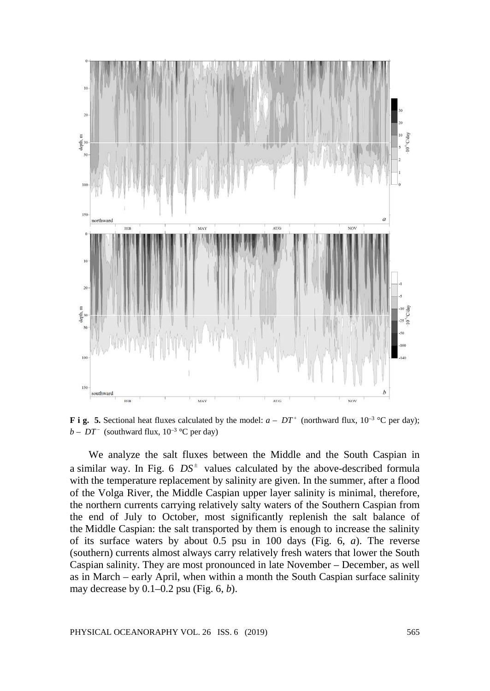

**F** i g. 5. Sectional heat fluxes calculated by the model:  $a - DT^+$  (northward flux,  $10^{-3}$  °C per day); *b* − *DT*<sup>−</sup> (southward flux,  $10^{-3}$  °C per day)

We analyze the salt fluxes between the Middle and the South Caspian in a similar way. In Fig. 6  $DS^{\pm}$  values calculated by the above-described formula with the temperature replacement by salinity are given. In the summer, after a flood of the Volga River, the Middle Caspian upper layer salinity is minimal, therefore, the northern currents carrying relatively salty waters of the Southern Caspian from the end of July to October, most significantly replenish the salt balance of the Middle Caspian: the salt transported by them is enough to increase the salinity of its surface waters by about 0.5 psu in 100 days (Fig. 6, *a*). The reverse (southern) currents almost always carry relatively fresh waters that lower the South Caspian salinity. They are most pronounced in late November – December, as well as in March – early April, when within a month the South Caspian surface salinity may decrease by 0.1–0.2 psu (Fig. 6, *b*).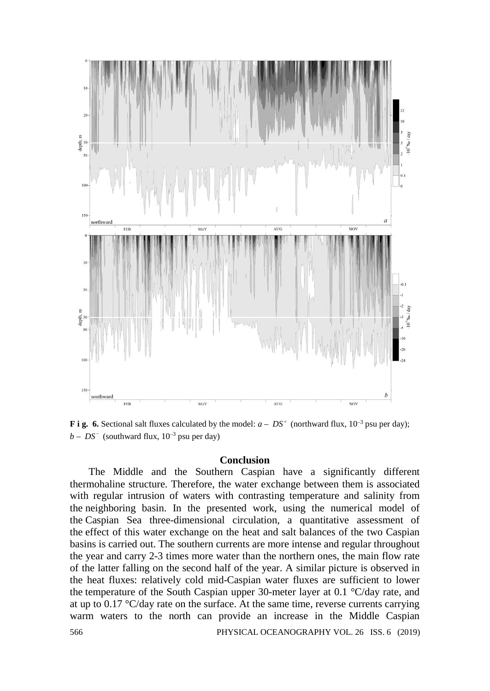

**F** i g. 6. Sectional salt fluxes calculated by the model:  $a - DS^+$  (northward flux,  $10^{-3}$  psu per day);  $b - DS^-$  (southward flux,  $10^{-3}$  psu per day)

### **Conclusion**

The Middle and the Southern Caspian have a significantly different thermohaline structure. Therefore, the water exchange between them is associated with regular intrusion of waters with contrasting temperature and salinity from the neighboring basin. In the presented work, using the numerical model of the Caspian Sea three-dimensional circulation, a quantitative assessment of the effect of this water exchange on the heat and salt balances of the two Caspian basins is carried out. The southern currents are more intense and regular throughout the year and carry 2-3 times more water than the northern ones, the main flow rate of the latter falling on the second half of the year. A similar picture is observed in the heat fluxes: relatively cold mid-Caspian water fluxes are sufficient to lower the temperature of the South Caspian upper 30-meter layer at 0.1 °C/day rate, and at up to 0.17 °C/day rate on the surface. At the same time, reverse currents carrying warm waters to the north can provide an increase in the Middle Caspian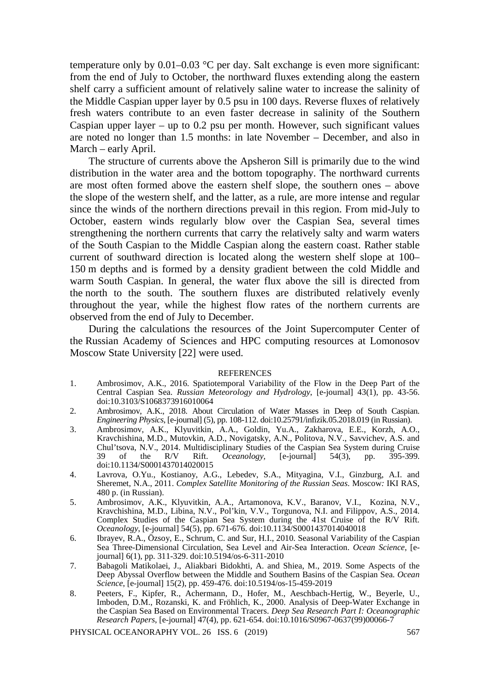temperature only by  $0.01-0.03$  °C per day. Salt exchange is even more significant: from the end of July to October, the northward fluxes extending along the eastern shelf carry a sufficient amount of relatively saline water to increase the salinity of the Middle Caspian upper layer by 0.5 psu in 100 days. Reverse fluxes of relatively fresh waters contribute to an even faster decrease in salinity of the Southern Caspian upper layer – up to 0.2 psu per month. However, such significant values are noted no longer than 1.5 months: in late November – December, and also in March – early April.

The structure of currents above the Apsheron Sill is primarily due to the wind distribution in the water area and the bottom topography. The northward currents are most often formed above the eastern shelf slope, the southern ones – above the slope of the western shelf, and the latter, as a rule, are more intense and regular since the winds of the northern directions prevail in this region. From mid-July to October, eastern winds regularly blow over the Caspian Sea, several times strengthening the northern currents that carry the relatively salty and warm waters of the South Caspian to the Middle Caspian along the eastern coast. Rather stable current of southward direction is located along the western shelf slope at 100– 150 m depths and is formed by a density gradient between the cold Middle and warm South Caspian. In general, the water flux above the sill is directed from the north to the south. The southern fluxes are distributed relatively evenly throughout the year, while the highest flow rates of the northern currents are observed from the end of July to December.

During the calculations the resources of the Joint Supercomputer Center of the Russian Academy of Sciences and HPC computing resources at Lomonosov Moscow State University [22] were used.

#### **REFERENCES**

- 1. Ambrosimov, A.K., 2016. Spatiotemporal Variability of the Flow in the Deep Part of the Central Caspian Sea. *Russian Meteorology and Hydrology*, [e-journal] 43(1), pp. 43-56. doi:10.3103/S1068373916010064
- 2. Ambrosimov, A.K., 2018. About Circulation of Water Masses in Deep of South Caspian. *Engineering Physics*, [e-journal] (5), pp. 108-112. doi:10.25791/infizik.05.2018.019 (in Russian).
- 3. Ambrosimov, A.K., Klyuvitkin, A.A., Goldin, Yu.A., Zakharova, E.E., Korzh, A.O., Kravchishina, M.D., Mutovkin, A.D., Novigatsky, A.N., Politova, N.V., Savvichev, A.S. and Chul'tsova, N.V., 2014. Multidisciplinary Studies of the Caspian Sea System during Cruise<br>39 of the R/V Rift. *Oceanology*, [e-journal] 54(3), pp. 395-399.  $Oceanology,$ doi:10.1134/S0001437014020015
- 4. Lavrova, O.Yu., Kostianoy, A.G., Lebedev, S.A., Mityagina, V.I., Ginzburg, A.I. and Sheremet, N.A., 2011. *Complex Satellite Monitoring of the Russian Seas*. Moscow*:* IKI RAS, 480 p. (in Russian).
- 5. Ambrosimov, A.K., Klyuvitkin, A.A., Artamonova, K.V., Baranov, V.I., Kozina, N.V., Kravchishina, M.D., Libina, N.V., Pol'kin, V.V., Torgunova, N.I. and Filippov, A.S., 2014. Complex Studies of the Caspian Sea System during the 41st Cruise of the R/V Rift. *Oceanology*, [e-journal] 54(5), pp. 671**-**676. doi:10.1134/S0001437014040018
- 6. Ibrayev, R.A., Özsoy, E., Schrum, C. and Sur, H.I., 2010. Seasonal Variability of the Caspian Sea Three-Dimensional Circulation, Sea Level and Air-Sea Interaction. *Ocean Science*, [ejournal] 6(1), pp. 311-329. doi:10.5194/os-6-311-2010
- 7. Babagoli Matikolaei, J., Aliakbari Bidokhti, A. and Shiea, M., 2019. Some Aspects of the Deep Abyssal Overflow between the Middle and Southern Basins of the Caspian Sea. *Ocean Science*, [e-journal] 15(2), pp. 459-476. doi:10.5194/os-15-459-2019
- 8. Peeters, F., Kipfer, R., Achermann, D., Hofer, M., Aeschbach-Hertig, W., Beyerle, U., Imboden, D.M., Rozanski, K. and Fröhlich, K., 2000. Analysis of Deep-Water Exchange in the Caspian Sea Based on Environmental Tracers. *Deep Sea Research Part I: Oceanographic Research Papers*, [e-journal] 47(4), pp. 621-654. doi:10.1016/S0967-0637(99)00066-7

PHYSICAL OCEANORAPHY VOL. 26 ISS. 6 (2019) 567